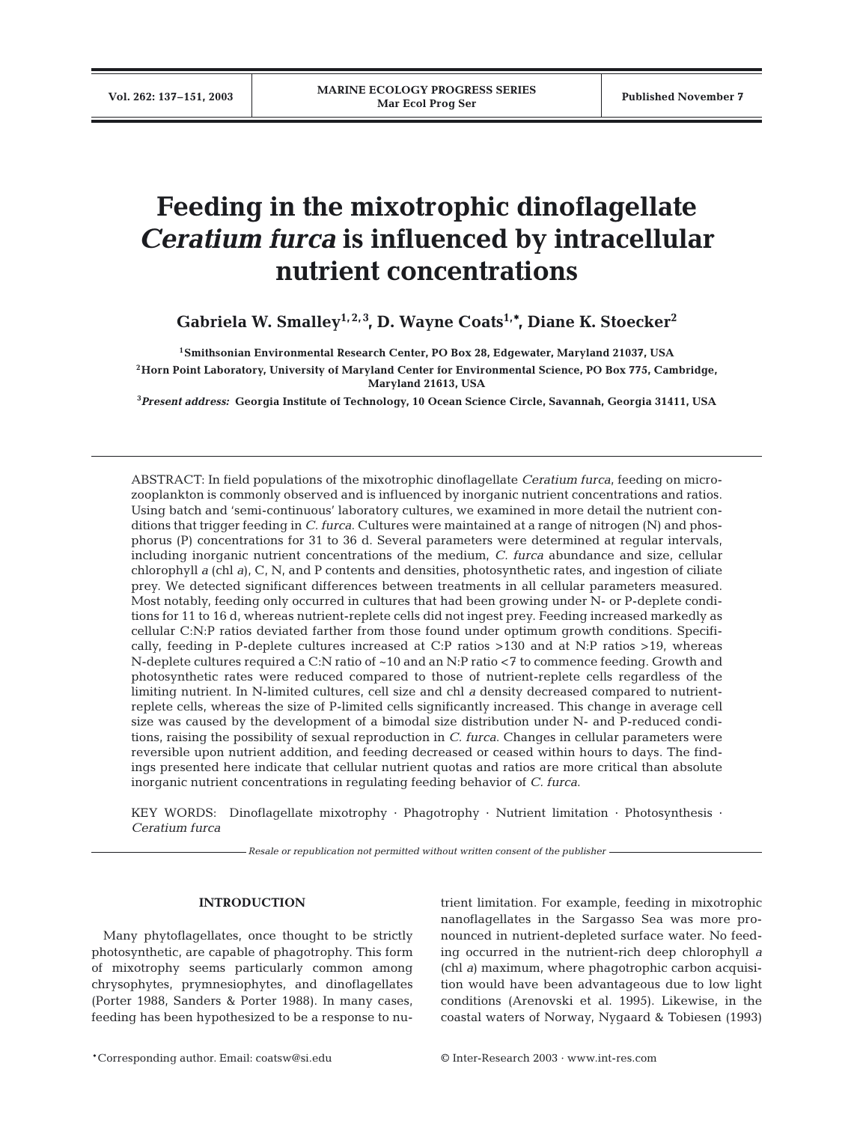# **Feeding in the mixotrophic dinoflagellate**  *Ceratium furca* **is influenced by intracellular nutrient concentrations**

Gabriela W. Smalley<sup>1, 2, 3</sup>, D. Wayne Coats<sup>1,\*</sup>, Diane K. Stoecker<sup>2</sup>

**1Smithsonian Environmental Research Center, PO Box 28, Edgewater, Maryland 21037, USA**

**2Horn Point Laboratory, University of Maryland Center for Environmental Science, PO Box 775, Cambridge, Maryland 21613, USA**

**3** *Present address:* **Georgia Institute of Technology, 10 Ocean Science Circle, Savannah, Georgia 31411, USA**

ABSTRACT: In field populations of the mixotrophic dinoflagellate *Ceratium furca*, feeding on microzooplankton is commonly observed and is influenced by inorganic nutrient concentrations and ratios. Using batch and 'semi-continuous' laboratory cultures, we examined in more detail the nutrient conditions that trigger feeding in *C. furca*. Cultures were maintained at a range of nitrogen (N) and phosphorus (P) concentrations for 31 to 36 d. Several parameters were determined at regular intervals, including inorganic nutrient concentrations of the medium, *C. furca* abundance and size, cellular chlorophyll *a* (chl *a*), C, N, and P contents and densities, photosynthetic rates, and ingestion of ciliate prey. We detected significant differences between treatments in all cellular parameters measured. Most notably, feeding only occurred in cultures that had been growing under N- or P-deplete conditions for 11 to 16 d, whereas nutrient-replete cells did not ingest prey. Feeding increased markedly as cellular C:N:P ratios deviated farther from those found under optimum growth conditions. Specifically, feeding in P-deplete cultures increased at C:P ratios >130 and at N:P ratios >19, whereas N-deplete cultures required a C:N ratio of ~10 and an N:P ratio <7 to commence feeding. Growth and photosynthetic rates were reduced compared to those of nutrient-replete cells regardless of the limiting nutrient. In N-limited cultures, cell size and chl *a* density decreased compared to nutrientreplete cells, whereas the size of P-limited cells significantly increased. This change in average cell size was caused by the development of a bimodal size distribution under N- and P-reduced conditions, raising the possibility of sexual reproduction in *C. furca*. Changes in cellular parameters were reversible upon nutrient addition, and feeding decreased or ceased within hours to days. The findings presented here indicate that cellular nutrient quotas and ratios are more critical than absolute inorganic nutrient concentrations in regulating feeding behavior of *C. furca*.

KEY WORDS: Dinoflagellate mixotrophy · Phagotrophy · Nutrient limitation · Photosynthesis · *Ceratium furca*

*Resale or republication not permitted without written consent of the publisher*

# **INTRODUCTION**

Many phytoflagellates, once thought to be strictly photosynthetic, are capable of phagotrophy. This form of mixotrophy seems particularly common among chrysophytes, prymnesiophytes, and dinoflagellates (Porter 1988, Sanders & Porter 1988). In many cases, feeding has been hypothesized to be a response to nutrient limitation. For example, feeding in mixotrophic nanoflagellates in the Sargasso Sea was more pronounced in nutrient-depleted surface water. No feeding occurred in the nutrient-rich deep chlorophyll *a* (chl *a*) maximum, where phagotrophic carbon acquisition would have been advantageous due to low light conditions (Arenovski et al. 1995). Likewise, in the coastal waters of Norway, Nygaard & Tobiesen (1993)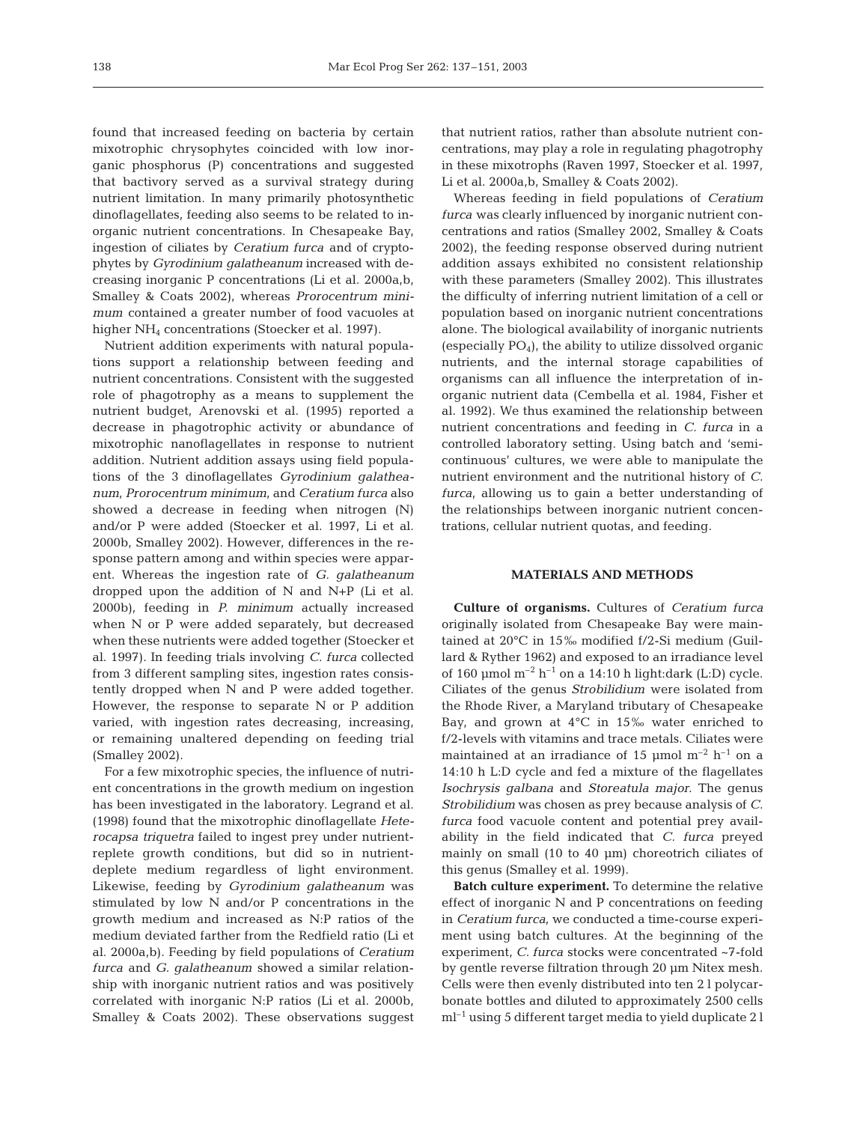found that increased feeding on bacteria by certain mixotrophic chrysophytes coincided with low inorganic phosphorus (P) concentrations and suggested that bactivory served as a survival strategy during nutrient limitation. In many primarily photosynthetic dinoflagellates, feeding also seems to be related to inorganic nutrient concentrations. In Chesapeake Bay, ingestion of ciliates by *Ceratium furca* and of cryptophytes by *Gyrodinium galatheanum* increased with decreasing inorganic P concentrations (Li et al. 2000a,b, Smalley & Coats 2002), whereas *Prorocentrum minimum* contained a greater number of food vacuoles at higher NH<sub>4</sub> concentrations (Stoecker et al. 1997).

Nutrient addition experiments with natural populations support a relationship between feeding and nutrient concentrations. Consistent with the suggested role of phagotrophy as a means to supplement the nutrient budget, Arenovski et al. (1995) reported a decrease in phagotrophic activity or abundance of mixotrophic nanoflagellates in response to nutrient addition. Nutrient addition assays using field populations of the 3 dinoflagellates *Gyrodinium galatheanum, Prorocentrum minimum*, and *Ceratium furca* also showed a decrease in feeding when nitrogen (N) and/or P were added (Stoecker et al. 1997, Li et al. 2000b, Smalley 2002). However, differences in the response pattern among and within species were apparent. Whereas the ingestion rate of *G. galatheanum* dropped upon the addition of N and N+P (Li et al. 2000b), feeding in *P. minimum* actually increased when N or P were added separately, but decreased when these nutrients were added together (Stoecker et al. 1997). In feeding trials involving *C. furca* collected from 3 different sampling sites, ingestion rates consistently dropped when N and P were added together. However, the response to separate N or P addition varied, with ingestion rates decreasing, increasing, or remaining unaltered depending on feeding trial (Smalley 2002).

For a few mixotrophic species, the influence of nutrient concentrations in the growth medium on ingestion has been investigated in the laboratory. Legrand et al. (1998) found that the mixotrophic dinoflagellate *Heterocapsa triquetra* failed to ingest prey under nutrientreplete growth conditions, but did so in nutrientdeplete medium regardless of light environment. Likewise, feeding by *Gyrodinium galatheanum* was stimulated by low N and/or P concentrations in the growth medium and increased as N:P ratios of the medium deviated farther from the Redfield ratio (Li et al. 2000a,b). Feeding by field populations of *Ceratium furca* and *G. galatheanum* showed a similar relationship with inorganic nutrient ratios and was positively correlated with inorganic N:P ratios (Li et al. 2000b, Smalley & Coats 2002). These observations suggest

that nutrient ratios, rather than absolute nutrient concentrations, may play a role in regulating phagotrophy in these mixotrophs (Raven 1997, Stoecker et al. 1997, Li et al. 2000a,b, Smalley & Coats 2002).

Whereas feeding in field populations of *Ceratium furca* was clearly influenced by inorganic nutrient concentrations and ratios (Smalley 2002, Smalley & Coats 2002), the feeding response observed during nutrient addition assays exhibited no consistent relationship with these parameters (Smalley 2002). This illustrates the difficulty of inferring nutrient limitation of a cell or population based on inorganic nutrient concentrations alone. The biological availability of inorganic nutrients (especially  $PO<sub>4</sub>$ ), the ability to utilize dissolved organic nutrients, and the internal storage capabilities of organisms can all influence the interpretation of inorganic nutrient data (Cembella et al. 1984, Fisher et al. 1992). We thus examined the relationship between nutrient concentrations and feeding in *C. furca* in a controlled laboratory setting. Using batch and 'semicontinuous' cultures, we were able to manipulate the nutrient environment and the nutritional history of *C. furca*, allowing us to gain a better understanding of the relationships between inorganic nutrient concentrations, cellular nutrient quotas, and feeding.

# **MATERIALS AND METHODS**

**Culture of organisms.** Cultures of *Ceratium furca* originally isolated from Chesapeake Bay were maintained at 20°C in 15‰ modified f/2-Si medium (Guillard & Ryther 1962) and exposed to an irradiance level of 160 µmol  $m^{-2}$  h<sup>-1</sup> on a 14:10 h light:dark (L:D) cycle. Ciliates of the genus *Strobilidium* were isolated from the Rhode River, a Maryland tributary of Chesapeake Bay, and grown at 4°C in 15‰ water enriched to f/2-levels with vitamins and trace metals. Ciliates were maintained at an irradiance of 15 µmol  $m^{-2}$  h<sup>-1</sup> on a 14:10 h L:D cycle and fed a mixture of the flagellates *Isochrysis galbana* and *Storeatula major*. The genus *Strobilidium* was chosen as prey because analysis of *C. furca* food vacuole content and potential prey availability in the field indicated that *C. furca* preyed mainly on small (10 to 40 µm) choreotrich ciliates of this genus (Smalley et al. 1999).

**Batch culture experiment.** To determine the relative effect of inorganic N and P concentrations on feeding in *Ceratium furca*, we conducted a time-course experiment using batch cultures. At the beginning of the experiment, *C. furca* stocks were concentrated ~7-fold by gentle reverse filtration through 20 µm Nitex mesh. Cells were then evenly distributed into ten 2 l polycarbonate bottles and diluted to approximately 2500 cells ml–1 using 5 different target media to yield duplicate 2 l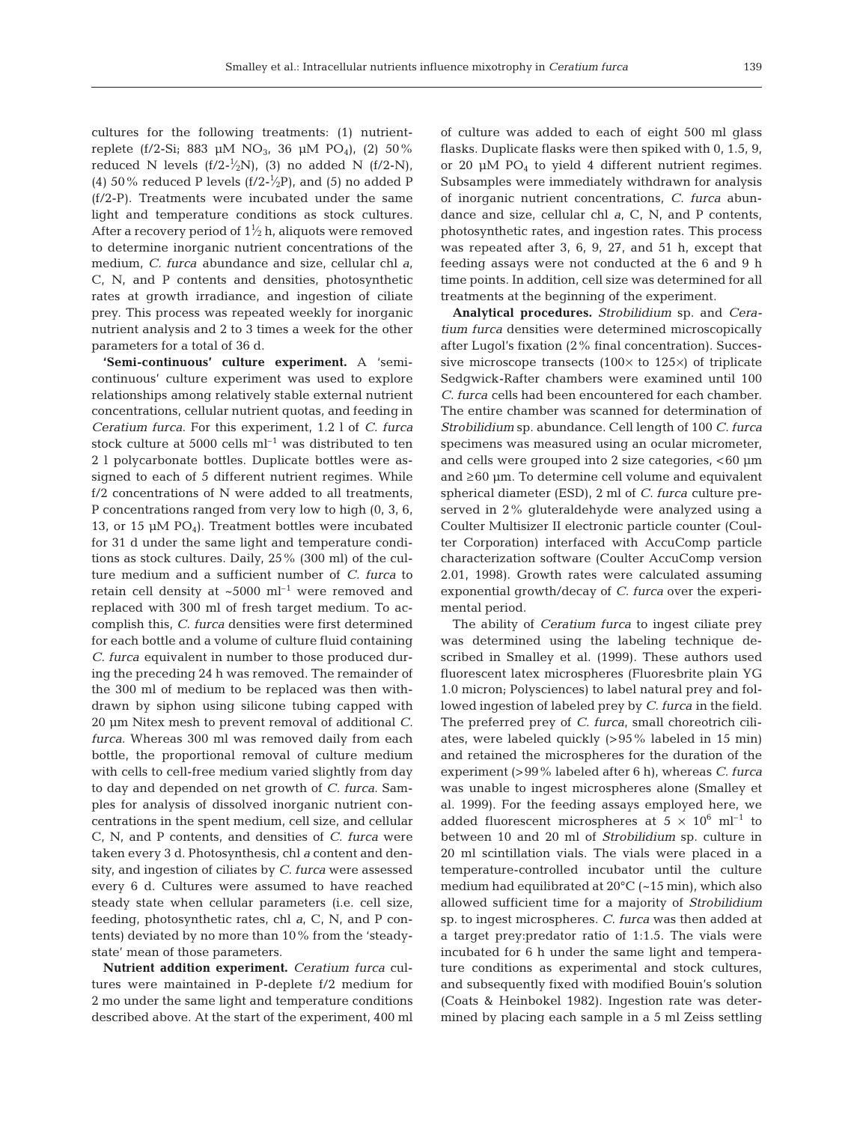cultures for the following treatments: (1) nutrientreplete (f/2-Si; 883 µM NO<sub>3</sub>, 36 µM PO<sub>4</sub>), (2) 50% reduced N levels (f/2- $\frac{1}{2}N$ ), (3) no added N (f/2-N), (4) 50% reduced P levels  $(f/2-\frac{1}{2}P)$ , and (5) no added P (f/2-P). Treatments were incubated under the same light and temperature conditions as stock cultures. After a recovery period of  $1\frac{1}{2}$  h, aliquots were removed to determine inorganic nutrient concentrations of the medium, *C. furca* abundance and size, cellular chl *a*, C, N, and P contents and densities, photosynthetic rates at growth irradiance, and ingestion of ciliate prey. This process was repeated weekly for inorganic nutrient analysis and 2 to 3 times a week for the other parameters for a total of 36 d.

**'Semi-continuous' culture experiment.** A 'semicontinuous' culture experiment was used to explore relationships among relatively stable external nutrient concentrations, cellular nutrient quotas, and feeding in *Ceratium furca*. For this experiment, 1.2 l of *C. furca* stock culture at 5000 cells  $ml^{-1}$  was distributed to ten 2 l polycarbonate bottles. Duplicate bottles were assigned to each of 5 different nutrient regimes. While f/2 concentrations of N were added to all treatments, P concentrations ranged from very low to high (0, 3, 6, 13, or 15  $\mu$ M PO<sub>4</sub>). Treatment bottles were incubated for 31 d under the same light and temperature conditions as stock cultures. Daily, 25% (300 ml) of the culture medium and a sufficient number of *C. furca* to retain cell density at  $\sim$  5000 ml<sup>-1</sup> were removed and replaced with 300 ml of fresh target medium. To accomplish this, *C. furca* densities were first determined for each bottle and a volume of culture fluid containing *C. furca* equivalent in number to those produced during the preceding 24 h was removed. The remainder of the 300 ml of medium to be replaced was then withdrawn by siphon using silicone tubing capped with 20 µm Nitex mesh to prevent removal of additional *C. furca*. Whereas 300 ml was removed daily from each bottle, the proportional removal of culture medium with cells to cell-free medium varied slightly from day to day and depended on net growth of *C. furca*. Samples for analysis of dissolved inorganic nutrient concentrations in the spent medium, cell size, and cellular C, N, and P contents, and densities of *C. furca* were taken every 3 d. Photosynthesis, chl *a* content and density, and ingestion of ciliates by *C. furca* were assessed every 6 d. Cultures were assumed to have reached steady state when cellular parameters (i.e. cell size, feeding, photosynthetic rates, chl *a*, C, N, and P contents) deviated by no more than 10% from the 'steadystate' mean of those parameters.

**Nutrient addition experiment.** *Ceratium furca* cultures were maintained in P-deplete f/2 medium for 2 mo under the same light and temperature conditions described above. At the start of the experiment, 400 ml

of culture was added to each of eight 500 ml glass flasks. Duplicate flasks were then spiked with 0, 1.5, 9, or 20  $\mu$ M PO<sub>4</sub> to yield 4 different nutrient regimes. Subsamples were immediately withdrawn for analysis of inorganic nutrient concentrations, *C. furca* abundance and size, cellular chl *a*, C, N, and P contents, photosynthetic rates, and ingestion rates. This process was repeated after 3, 6, 9, 27, and 51 h, except that feeding assays were not conducted at the 6 and 9 h time points. In addition, cell size was determined for all treatments at the beginning of the experiment.

**Analytical procedures.** *Strobilidium* sp. and *Ceratium furca* densities were determined microscopically after Lugol's fixation (2% final concentration). Successive microscope transects  $(100 \times$  to  $125 \times)$  of triplicate Sedgwick-Rafter chambers were examined until 100 *C. furca* cells had been encountered for each chamber. The entire chamber was scanned for determination of *Strobilidium* sp. abundance. Cell length of 100 *C. furca* specimens was measured using an ocular micrometer, and cells were grouped into 2 size categories, <60  $\mu$ m and ≥60 µm. To determine cell volume and equivalent spherical diameter (ESD), 2 ml of *C. furca* culture preserved in 2% gluteraldehyde were analyzed using a Coulter Multisizer II electronic particle counter (Coulter Corporation) interfaced with AccuComp particle characterization software (Coulter AccuComp version 2.01, 1998). Growth rates were calculated assuming exponential growth/decay of *C. furca* over the experimental period.

The ability of *Ceratium furca* to ingest ciliate prey was determined using the labeling technique described in Smalley et al. (1999). These authors used fluorescent latex microspheres (Fluoresbrite plain YG 1.0 micron; Polysciences) to label natural prey and followed ingestion of labeled prey by *C. furca* in the field. The preferred prey of *C. furca*, small choreotrich ciliates, were labeled quickly (>95% labeled in 15 min) and retained the microspheres for the duration of the experiment (>99% labeled after 6 h), whereas *C. furca* was unable to ingest microspheres alone (Smalley et al. 1999). For the feeding assays employed here, we added fluorescent microspheres at  $5 \times 10^6$  ml<sup>-1</sup> to between 10 and 20 ml of *Strobilidium* sp. culture in 20 ml scintillation vials. The vials were placed in a temperature-controlled incubator until the culture medium had equilibrated at 20°C (~15 min), which also allowed sufficient time for a majority of *Strobilidium* sp. to ingest microspheres. *C. furca* was then added at a target prey:predator ratio of 1:1.5. The vials were incubated for 6 h under the same light and temperature conditions as experimental and stock cultures, and subsequently fixed with modified Bouin's solution (Coats & Heinbokel 1982). Ingestion rate was determined by placing each sample in a 5 ml Zeiss settling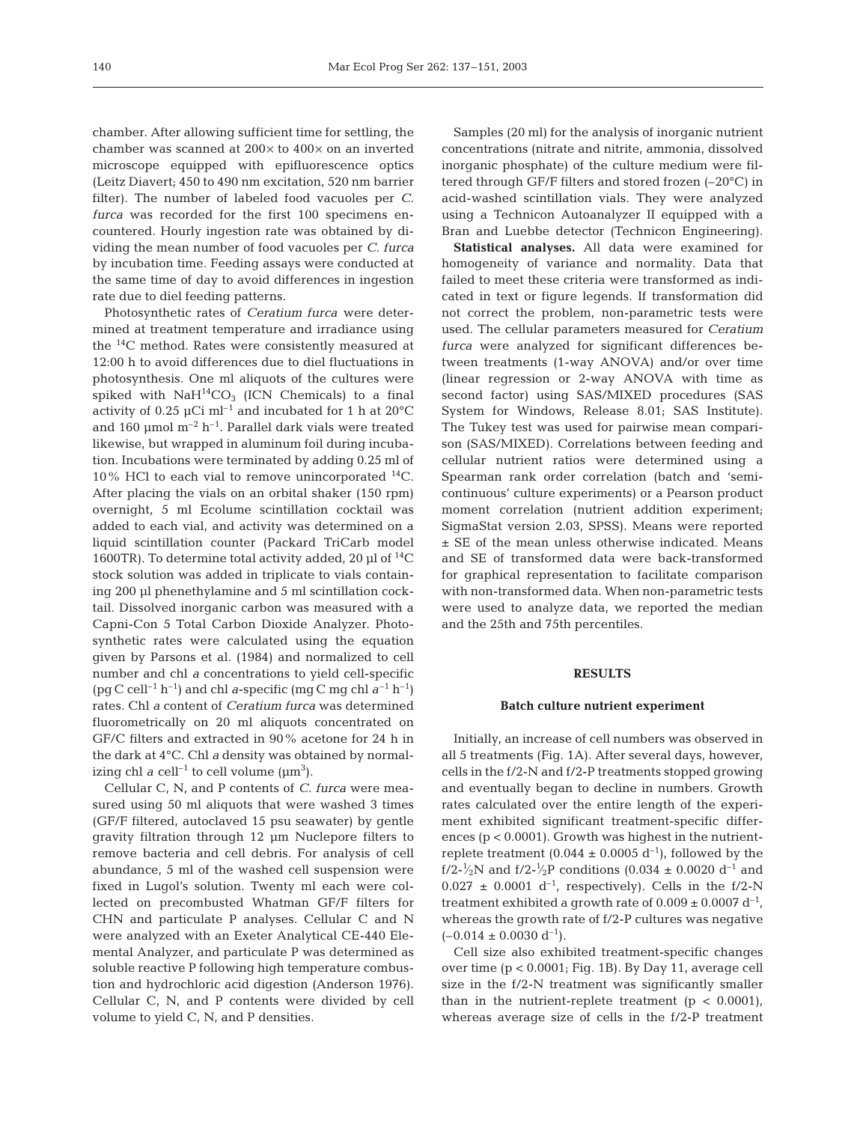chamber. After allowing sufficient time for settling, the chamber was scanned at 200× to 400× on an inverted microscope equipped with epifluorescence optics (Leitz Diavert; 450 to 490 nm excitation, 520 nm barrier filter). The number of labeled food vacuoles per *C. furca* was recorded for the first 100 specimens encountered. Hourly ingestion rate was obtained by dividing the mean number of food vacuoles per *C. furca* by incubation time. Feeding assays were conducted at the same time of day to avoid differences in ingestion rate due to diel feeding patterns.

Photosynthetic rates of *Ceratium furca* were determined at treatment temperature and irradiance using the 14C method. Rates were consistently measured at 12:00 h to avoid differences due to diel fluctuations in photosynthesis. One ml aliquots of the cultures were spiked with  $NaH^{14}CO<sub>3</sub>$  (ICN Chemicals) to a final activity of 0.25  $\mu$ Ci m<sup>-1</sup> and incubated for 1 h at 20 $^{\circ}$ C and 160  $\mu$ mol m<sup>-2</sup> h<sup>-1</sup>. Parallel dark vials were treated likewise, but wrapped in aluminum foil during incubation. Incubations were terminated by adding 0.25 ml of 10% HCl to each vial to remove unincorporated  $^{14}$ C. After placing the vials on an orbital shaker (150 rpm) overnight, 5 ml Ecolume scintillation cocktail was added to each vial, and activity was determined on a liquid scintillation counter (Packard TriCarb model 1600TR). To determine total activity added, 20  $\mu$ l of <sup>14</sup>C stock solution was added in triplicate to vials containing 200 µl phenethylamine and 5 ml scintillation cocktail. Dissolved inorganic carbon was measured with a Capni-Con 5 Total Carbon Dioxide Analyzer. Photosynthetic rates were calculated using the equation given by Parsons et al. (1984) and normalized to cell number and chl *a* concentrations to yield cell-specific (pg C cell<sup>-1</sup> h<sup>-1</sup>) and chl *a*-specific (mg C mg chl  $a^{-1}$  h<sup>-1</sup>) rates. Chl *a* content of *Ceratium furca* was determined fluorometrically on 20 ml aliquots concentrated on GF/C filters and extracted in 90% acetone for 24 h in the dark at 4°C. Chl *a* density was obtained by normalizing chl  $a$  cell<sup>-1</sup> to cell volume ( $\mu$ m<sup>3</sup>).

Cellular C, N, and P contents of *C. furca* were measured using 50 ml aliquots that were washed 3 times (GF/F filtered, autoclaved 15 psu seawater) by gentle gravity filtration through 12 µm Nuclepore filters to remove bacteria and cell debris. For analysis of cell abundance, 5 ml of the washed cell suspension were fixed in Lugol's solution. Twenty ml each were collected on precombusted Whatman GF/F filters for CHN and particulate P analyses. Cellular C and N were analyzed with an Exeter Analytical CE-440 Elemental Analyzer, and particulate P was determined as soluble reactive P following high temperature combustion and hydrochloric acid digestion (Anderson 1976). Cellular C, N, and P contents were divided by cell volume to yield C, N, and P densities.

Samples (20 ml) for the analysis of inorganic nutrient concentrations (nitrate and nitrite, ammonia, dissolved inorganic phosphate) of the culture medium were filtered through GF/F filters and stored frozen (–20°C) in acid-washed scintillation vials. They were analyzed using a Technicon Autoanalyzer II equipped with a Bran and Luebbe detector (Technicon Engineering).

**Statistical analyses.** All data were examined for homogeneity of variance and normality. Data that failed to meet these criteria were transformed as indicated in text or figure legends. If transformation did not correct the problem, non-parametric tests were used. The cellular parameters measured for *Ceratium furca* were analyzed for significant differences between treatments (1-way ANOVA) and/or over time (linear regression or 2-way ANOVA with time as second factor) using SAS/MIXED procedures (SAS System for Windows, Release 8.01; SAS Institute). The Tukey test was used for pairwise mean comparison (SAS/MIXED). Correlations between feeding and cellular nutrient ratios were determined using a Spearman rank order correlation (batch and 'semicontinuous' culture experiments) or a Pearson product moment correlation (nutrient addition experiment; SigmaStat version 2.03, SPSS). Means were reported ± SE of the mean unless otherwise indicated. Means and SE of transformed data were back-transformed for graphical representation to facilitate comparison with non-transformed data. When non-parametric tests were used to analyze data, we reported the median and the 25th and 75th percentiles.

#### **RESULTS**

#### **Batch culture nutrient experiment**

Initially, an increase of cell numbers was observed in all 5 treatments (Fig. 1A). After several days, however, cells in the f/2-N and f/2-P treatments stopped growing and eventually began to decline in numbers. Growth rates calculated over the entire length of the experiment exhibited significant treatment-specific differences  $(p < 0.0001)$ . Growth was highest in the nutrientreplete treatment (0.044  $\pm$  0.0005 d<sup>-1</sup>), followed by the f/2-<sup>1</sup>/<sub>2</sub>N and f/2-<sup>1</sup>/<sub>2</sub>P conditions (0.034  $\pm$  0.0020 d<sup>-1</sup> and  $0.027 \pm 0.0001$  d<sup>-1</sup>, respectively). Cells in the f/2-N treatment exhibited a growth rate of  $0.009 \pm 0.0007 \text{ d}^{-1}$ , whereas the growth rate of f/2-P cultures was negative  $(-0.014 \pm 0.0030 \text{ d}^{-1}).$ 

Cell size also exhibited treatment-specific changes over time  $(p < 0.0001$ ; Fig. 1B). By Day 11, average cell size in the f/2-N treatment was significantly smaller than in the nutrient-replete treatment  $(p < 0.0001)$ , whereas average size of cells in the f/2-P treatment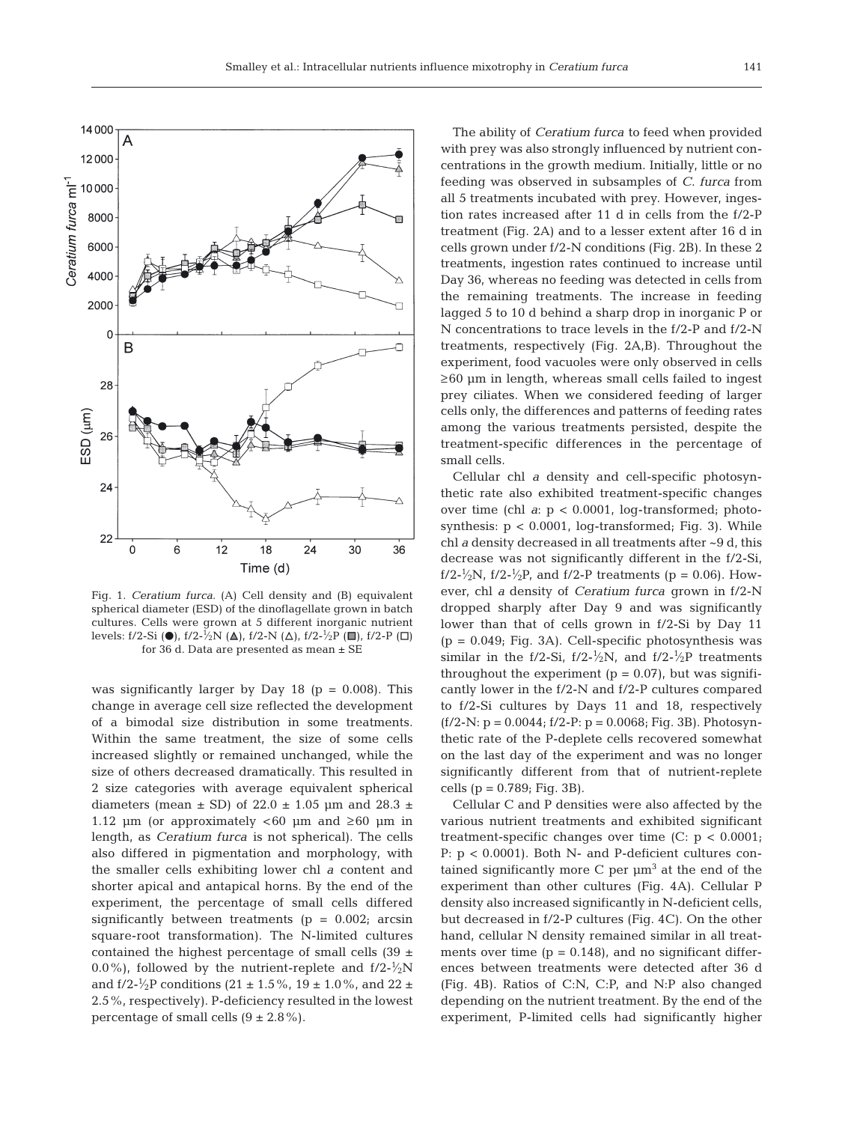

Fig. 1. *Ceratium furca*. (A) Cell density and (B) equivalent spherical diameter (ESD) of the dinoflagellate grown in batch cultures. Cells were grown at 5 different inorganic nutrient levels: f/2-Si ( $\bullet$ ), f/2-<sup>1</sup>/<sub>2</sub>N ( $\Delta$ ), f/2-N ( $\Delta$ ), f/2-<sup>1</sup>/<sub>2</sub>P ( $\Box$ ), f/2-P ( $\Box$ ) for 36 d. Data are presented as mean ± SE

was significantly larger by Day 18 ( $p = 0.008$ ). This change in average cell size reflected the development of a bimodal size distribution in some treatments. Within the same treatment, the size of some cells increased slightly or remained unchanged, while the size of others decreased dramatically. This resulted in 2 size categories with average equivalent spherical diameters (mean  $\pm$  SD) of 22.0  $\pm$  1.05 µm and 28.3  $\pm$ 1.12 µm (or approximately  $<60$  µm and  $\geq 60$  µm in length, as *Ceratium furca* is not spherical). The cells also differed in pigmentation and morphology, with the smaller cells exhibiting lower chl *a* content and shorter apical and antapical horns. By the end of the experiment, the percentage of small cells differed significantly between treatments ( $p = 0.002$ ; arcsin square-root transformation). The N-limited cultures contained the highest percentage of small cells  $(39 \pm$ 0.0%), followed by the nutrient-replete and  $f/2$ - $\frac{1}{2}N$ and  $f/2-\frac{1}{2}P$  conditions (21  $\pm$  1.5%, 19  $\pm$  1.0%, and 22  $\pm$ 2.5%, respectively). P-deficiency resulted in the lowest percentage of small cells  $(9 \pm 2.8\%)$ .

The ability of *Ceratium furca* to feed when provided with prey was also strongly influenced by nutrient concentrations in the growth medium. Initially, little or no feeding was observed in subsamples of *C. furca* from all 5 treatments incubated with prey. However, ingestion rates increased after 11 d in cells from the f/2-P treatment (Fig. 2A) and to a lesser extent after 16 d in cells grown under f/2-N conditions (Fig. 2B). In these 2 treatments, ingestion rates continued to increase until Day 36, whereas no feeding was detected in cells from the remaining treatments. The increase in feeding lagged 5 to 10 d behind a sharp drop in inorganic P or N concentrations to trace levels in the f/2-P and f/2-N treatments, respectively (Fig. 2A,B). Throughout the experiment, food vacuoles were only observed in cells ≥60 µm in length, whereas small cells failed to ingest prey ciliates. When we considered feeding of larger cells only, the differences and patterns of feeding rates among the various treatments persisted, despite the treatment-specific differences in the percentage of small cells.

Cellular chl *a* density and cell-specific photosynthetic rate also exhibited treatment-specific changes over time (chl *a*: p < 0.0001, log-transformed; photosynthesis:  $p < 0.0001$ , log-transformed; Fig. 3). While chl *a* density decreased in all treatments after ~9 d, this decrease was not significantly different in the f/2-Si, f/2- $\frac{1}{2}N$ , f/2- $\frac{1}{2}P$ , and f/2-P treatments (p = 0.06). However, chl *a* density of *Ceratium furca* grown in f/2-N dropped sharply after Day 9 and was significantly lower than that of cells grown in f/2-Si by Day 11 (p = 0.049; Fig. 3A). Cell-specific photosynthesis was similar in the f/2-Si, f/2- $\frac{1}{2}N$ , and f/2- $\frac{1}{2}P$  treatments throughout the experiment  $(p = 0.07)$ , but was significantly lower in the f/2-N and f/2-P cultures compared to f/2-Si cultures by Days 11 and 18, respectively  $(f/2-N: p = 0.0044; f/2-P: p = 0.0068; Fig. 3B)$ . Photosynthetic rate of the P-deplete cells recovered somewhat on the last day of the experiment and was no longer significantly different from that of nutrient-replete cells (p = 0.789; Fig. 3B).

Cellular C and P densities were also affected by the various nutrient treatments and exhibited significant treatment-specific changes over time (C: p < 0.0001; P: p < 0.0001). Both N- and P-deficient cultures contained significantly more  $C$  per  $\mu$ m<sup>3</sup> at the end of the experiment than other cultures (Fig. 4A). Cellular P density also increased significantly in N-deficient cells, but decreased in f/2-P cultures (Fig. 4C). On the other hand, cellular N density remained similar in all treatments over time  $(p = 0.148)$ , and no significant differences between treatments were detected after 36 d (Fig. 4B). Ratios of C:N, C:P, and N:P also changed depending on the nutrient treatment. By the end of the experiment, P-limited cells had significantly higher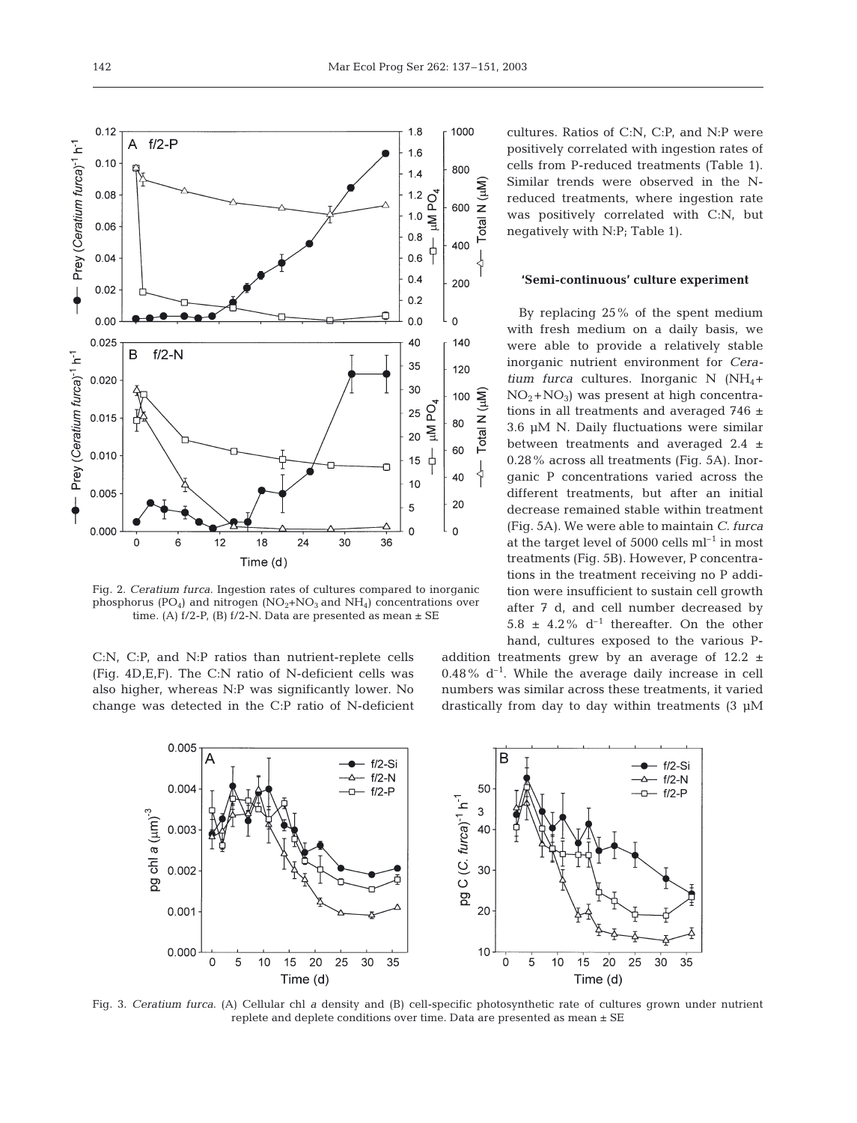cultures. Ratios of C:N, C:P, and N:P were positively correlated with ingestion rates of cells from P-reduced treatments (Table 1). Similar trends were observed in the Nreduced treatments, where ingestion rate was positively correlated with C:N, but negatively with N:P; Table 1).

# **'Semi-continuous' culture experiment**

By replacing 25% of the spent medium with fresh medium on a daily basis, we were able to provide a relatively stable inorganic nutrient environment for *Ceratium furca* cultures. Inorganic N (NH<sub>4</sub>+  $NO<sub>2</sub>+NO<sub>3</sub>$ ) was present at high concentrations in all treatments and averaged 746 ± 3.6 µM N. Daily fluctuations were similar between treatments and averaged 2.4 ± 0.28% across all treatments (Fig. 5A). Inorganic P concentrations varied across the different treatments, but after an initial decrease remained stable within treatment (Fig. 5A). We were able to maintain *C. furca* at the target level of 5000 cells  $ml^{-1}$  in most treatments (Fig. 5B). However, P concentrations in the treatment receiving no P addition were insufficient to sustain cell growth after 7 d, and cell number decreased by 5.8  $\pm$  4.2% d<sup>-1</sup> thereafter. On the other hand, cultures exposed to the various P-

addition treatments grew by an average of  $12.2 \pm$  $0.48\%$  d<sup>-1</sup>. While the average daily increase in cell numbers was similar across these treatments, it varied drastically from day to day within treatments (3 µM

Time (d)

 $f/2-Si$ 

 $-f/2-N$ 

 $- f/2 - P$ 

35



30

 $20$ 

 $10$ 

 $\ddot{o}$ 5  $10$  $15$ 20  $25$  $30$ 



 $1.8$ 

 $1.6$ 

 $1.4$ 

 $1.2$ 

 $1.0$  $\overline{M}$ 

 $0.8$ 

 $0.6$  $0.4$ 

δ,

1000

800

600

400

200

 $N(\mu M)$ 

otal

 $0.12$ 

 $0.10$ 

 $0.08$ 

 $0.06$ 

 $0.04$ 

 $0.02$ 

 $0.00$ 

0.002

0.001

 $0.000$ 

5

10 15 20 25 30 35

Time (d)

 $\Omega$ 

Prey (Ceratium furca)<sup>-1</sup> h<sup>-1</sup>

 $\frac{1}{2}$ 

 $\overline{A}$  $f/2-P$ 

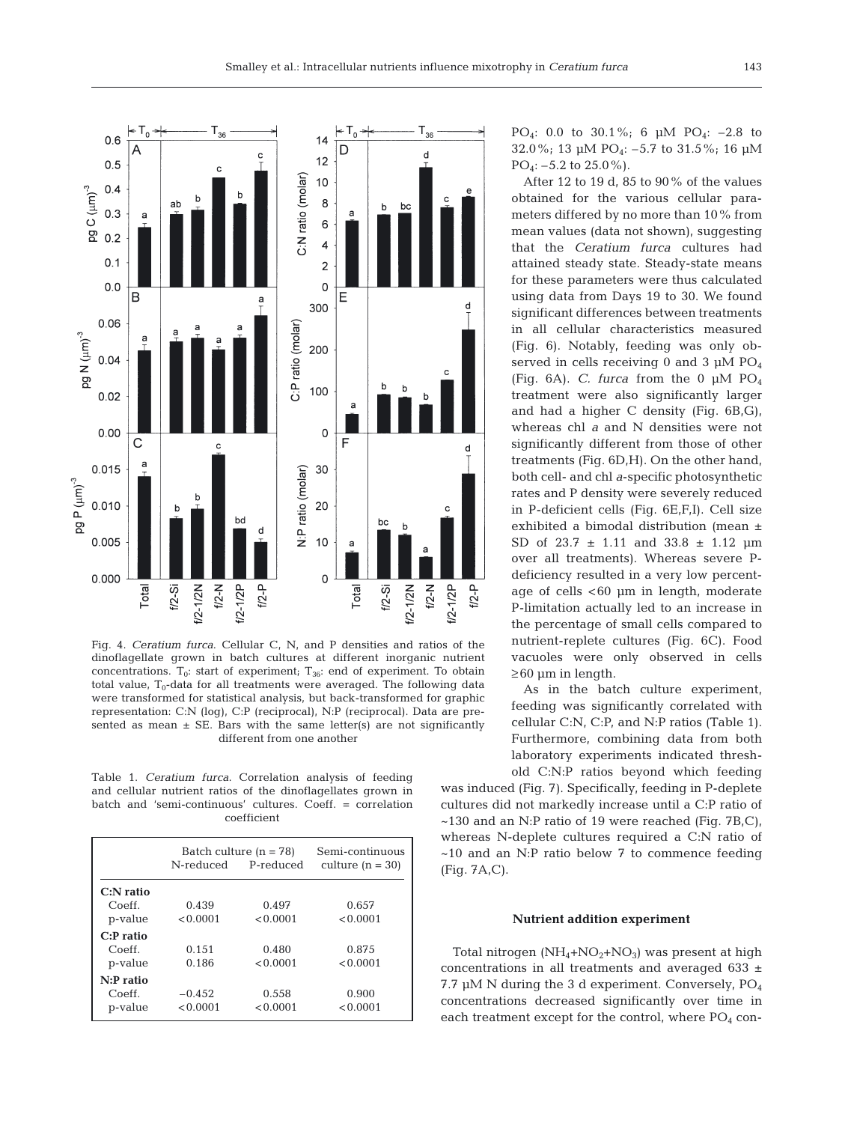

Fig. 4. *Ceratium furca*. Cellular C, N, and P densities and ratios of the dinoflagellate grown in batch cultures at different inorganic nutrient concentrations.  $T_0$ : start of experiment;  $T_{36}$ : end of experiment. To obtain total value,  $T_0$ -data for all treatments were averaged. The following data were transformed for statistical analysis, but back-transformed for graphic representation: C:N (log), C:P (reciprocal), N:P (reciprocal). Data are presented as mean  $\pm$  SE. Bars with the same letter(s) are not significantly different from one another

Table 1. *Ceratium furca*. Correlation analysis of feeding and cellular nutrient ratios of the dinoflagellates grown in batch and 'semi-continuous' cultures. Coeff. = correlation coefficient

|                   | Batch culture $(n = 78)$ |           | Semi-continuous    |  |
|-------------------|--------------------------|-----------|--------------------|--|
|                   | N-reduced                | P-reduced | culture $(n = 30)$ |  |
| $C:$ N ratio      |                          |           |                    |  |
| Coeff.            | 0.439                    | 0.497     | 0.657              |  |
| p-value           | < 0.0001                 | < 0.0001  | < 0.0001           |  |
| C:Pr <sub>1</sub> |                          |           |                    |  |
| Coeff.            | 0.151                    | 0.480     | 0.875              |  |
| p-value           | 0.186                    | < 0.0001  | < 0.0001           |  |
| $N: P$ ratio      |                          |           |                    |  |
| Coeff.            | $-0.452$                 | 0.558     | 0.900              |  |
| p-value           | < 0.0001                 | < 0.0001  | < 0.0001           |  |

PO<sub>4</sub>: 0.0 to 30.1%; 6  $\mu$ M PO<sub>4</sub>: -2.8 to 32.0%; 13 µM PO4: –5.7 to 31.5%; 16 µM  $PO_4$ :  $-5.2$  to 25.0%).

After 12 to 19 d, 85 to 90% of the values obtained for the various cellular parameters differed by no more than 10% from mean values (data not shown), suggesting that the *Ceratium furca* cultures had attained steady state. Steady-state means for these parameters were thus calculated using data from Days 19 to 30. We found significant differences between treatments in all cellular characteristics measured (Fig. 6). Notably, feeding was only observed in cells receiving 0 and 3  $\mu$ M PO<sub>4</sub> (Fig. 6A). *C. furca* from the 0 µM PO4 treatment were also significantly larger and had a higher C density (Fig. 6B,G), whereas chl *a* and N densities were not significantly different from those of other treatments (Fig. 6D,H). On the other hand, both cell- and chl *a*-specific photosynthetic rates and P density were severely reduced in P-deficient cells (Fig. 6E,F,I). Cell size exhibited a bimodal distribution (mean ± SD of 23.7 ± 1.11 and 33.8 ± 1.12 µm over all treatments). Whereas severe Pdeficiency resulted in a very low percentage of cells <60 µm in length, moderate P-limitation actually led to an increase in the percentage of small cells compared to nutrient-replete cultures (Fig. 6C). Food vacuoles were only observed in cells  $\geq$  60 µm in length.

As in the batch culture experiment, feeding was significantly correlated with cellular C:N, C:P, and N:P ratios (Table 1). Furthermore, combining data from both laboratory experiments indicated threshold C:N:P ratios beyond which feeding

was induced (Fig. 7). Specifically, feeding in P-deplete cultures did not markedly increase until a C:P ratio of  $\sim$ 130 and an N:P ratio of 19 were reached (Fig. 7B,C), whereas N-deplete cultures required a C:N ratio of  $~10$  and an N:P ratio below 7 to commence feeding (Fig. 7A,C).

# **Nutrient addition experiment**

Total nitrogen  $(NH_4+NO_2+NO_3)$  was present at high concentrations in all treatments and averaged 633 ± 7.7 µM N during the 3 d experiment. Conversely, PO4 concentrations decreased significantly over time in each treatment except for the control, where  $PO<sub>4</sub>$  con-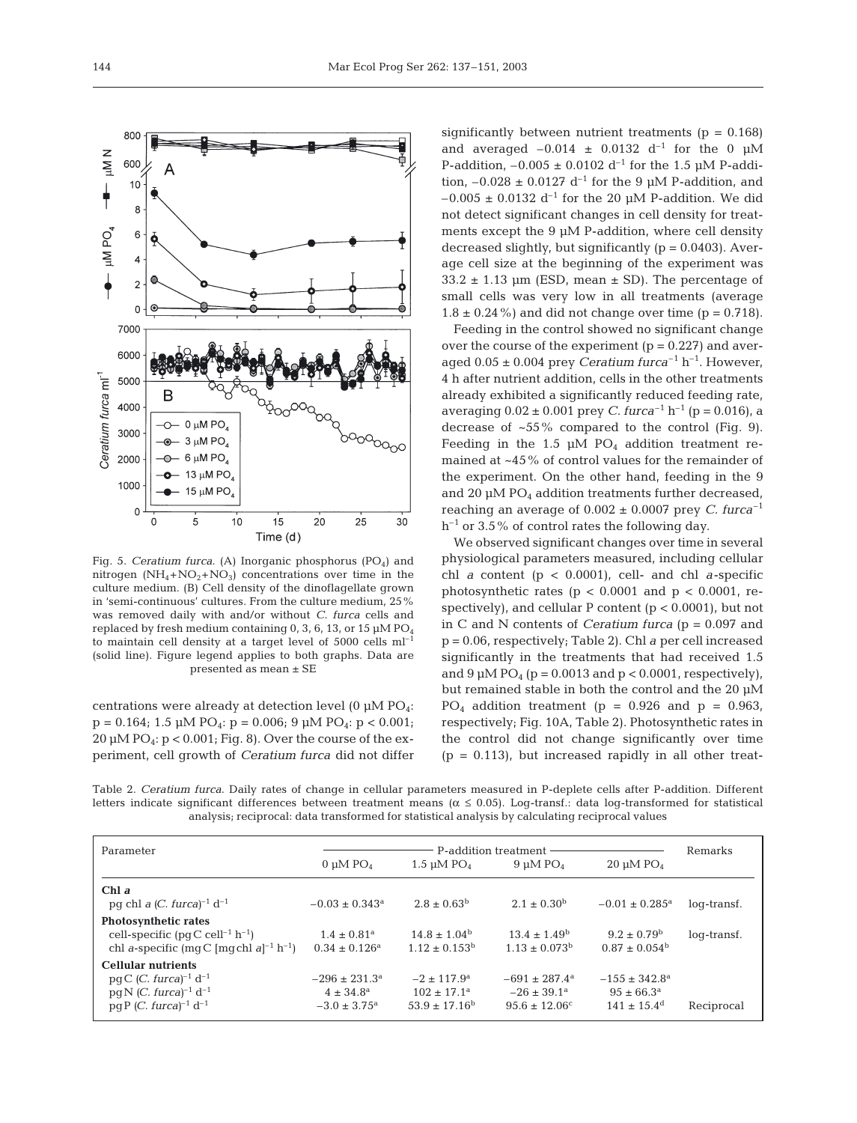

Fig. 5. *Ceratium furca*. (A) Inorganic phosphorus (PO<sub>4</sub>) and nitrogen  $(NH_4 + NO_2 + NO_3)$  concentrations over time in the culture medium. (B) Cell density of the dinoflagellate grown in 'semi-continuous' cultures. From the culture medium, 25% was removed daily with and/or without *C. furca* cells and replaced by fresh medium containing 0, 3, 6, 13, or 15  $\mu$ M PO<sub>4</sub> to maintain cell density at a target level of  $5000$  cells  $ml^{-1}$ (solid line). Figure legend applies to both graphs. Data are presented as mean ± SE

centrations were already at detection level (0  $\mu$ M PO<sub>4</sub>:  $p = 0.164$ ; 1.5  $\mu$ M PO<sub>4</sub>:  $p = 0.006$ ; 9  $\mu$ M PO<sub>4</sub>:  $p < 0.001$ ;  $20 \mu M$  PO<sub>4</sub>:  $p < 0.001$ ; Fig. 8). Over the course of the experiment, cell growth of *Ceratium furca* did not differ

significantly between nutrient treatments ( $p = 0.168$ ) and averaged  $-0.014 \pm 0.0132$  d<sup>-1</sup> for the 0  $\mu$ M P-addition,  $-0.005 \pm 0.0102$  d<sup>-1</sup> for the 1.5 uM P-addition,  $-0.028 \pm 0.0127$  d<sup>-1</sup> for the 9 µM P-addition, and  $-0.005 \pm 0.0132$  d<sup>-1</sup> for the 20 µM P-addition. We did not detect significant changes in cell density for treatments except the 9 µM P-addition, where cell density decreased slightly, but significantly  $(p = 0.0403)$ . Average cell size at the beginning of the experiment was  $33.2 \pm 1.13$  µm (ESD, mean  $\pm$  SD). The percentage of small cells was very low in all treatments (average  $1.8 \pm 0.24\%$  and did not change over time (p = 0.718).

Feeding in the control showed no significant change over the course of the experiment  $(p = 0.227)$  and averaged  $0.05 \pm 0.004$  prey *Ceratium furca*<sup>-1</sup> h<sup>-1</sup>. However, 4 h after nutrient addition, cells in the other treatments already exhibited a significantly reduced feeding rate, averaging  $0.02 \pm 0.001$  prey *C. furca*<sup>-1</sup> h<sup>-1</sup> (p = 0.016), a decrease of  $~55\%$  compared to the control (Fig. 9). Feeding in the 1.5  $\mu$ M PO<sub>4</sub> addition treatment remained at ~45% of control values for the remainder of the experiment. On the other hand, feeding in the 9 and 20  $\mu$ M PO<sub>4</sub> addition treatments further decreased, reaching an average of  $0.002 \pm 0.0007$  prey *C. furca*<sup>-1</sup>  $h^{-1}$  or 3.5% of control rates the following day.

We observed significant changes over time in several physiological parameters measured, including cellular chl *a* content (p < 0.0001), cell- and chl *a*-specific photosynthetic rates ( $p < 0.0001$  and  $p < 0.0001$ , respectively), and cellular P content  $(p < 0.0001)$ , but not in C and N contents of *Ceratium furca* (p = 0.097 and p = 0.06, respectively; Table 2). Chl *a* per cell increased significantly in the treatments that had received 1.5 and  $9 \mu M PO_4$  (p = 0.0013 and p < 0.0001, respectively), but remained stable in both the control and the 20 µM  $PO_4$  addition treatment (p = 0.926 and p = 0.963, respectively; Fig. 10A, Table 2). Photosynthetic rates in the control did not change significantly over time  $(p = 0.113)$ , but increased rapidly in all other treat-

Table 2. *Ceratium furca*. Daily rates of change in cellular parameters measured in P-deplete cells after P-addition. Different letters indicate significant differences between treatment means ( $\alpha \le 0.05$ ). Log-transf.: data log-transformed for statistical analysis; reciprocal: data transformed for statistical analysis by calculating reciprocal values

| Parameter                                                                                                                                               | P-addition treatment                                                        |                                                                           |                                                                                |                                                                                |             |
|---------------------------------------------------------------------------------------------------------------------------------------------------------|-----------------------------------------------------------------------------|---------------------------------------------------------------------------|--------------------------------------------------------------------------------|--------------------------------------------------------------------------------|-------------|
|                                                                                                                                                         | 0 µM $PO4$                                                                  | 1.5 $\mu$ M PO <sub>4</sub>                                               | $9 \mu M PO4$                                                                  | $20 \mu M PO4$                                                                 | Remarks     |
| Chl a<br>pg chl a $(C. \text{ furca})^{-1} d^{-1}$                                                                                                      | $-0.03 \pm 0.343^a$                                                         | $2.8 \pm 0.63^{\rm b}$                                                    | $2.1 \pm 0.30^{\rm b}$                                                         | $-0.01 \pm 0.285$ <sup>a</sup>                                                 | log-transf. |
| <b>Photosynthetic rates</b><br>cell-specific (pqC cell <sup>-1</sup> h <sup>-1</sup> )<br>chl a-specific (mqC [mqchl a] <sup>-1</sup> h <sup>-1</sup> ) | $1.4 \pm 0.81$ <sup>a</sup><br>$0.34 \pm 0.126^a$                           | $14.8 \pm 1.04^{\rm b}$<br>$1.12 \pm 0.153^{\rm b}$                       | $13.4 \pm 1.49^{\rm b}$<br>$1.13 \pm 0.073^b$                                  | $9.2 \pm 0.79^{\rm b}$<br>$0.87 \pm 0.054^{\rm b}$                             | log-transf. |
| <b>Cellular nutrients</b><br>$pg C$ ( <i>C. furca</i> ) <sup>-1</sup> d <sup>-1</sup><br>$pg N (C. furca)^{-1} d^{-1}$<br>$pqP(C. furca)^{-1} d^{-1}$   | $-296 \pm 231.3^{\circ}$<br>$4 \pm 34.8^{\rm a}$<br>$-3.0 \pm 3.75^{\circ}$ | $-2 + 117.9$ <sup>a</sup><br>$102 \pm 17.1^{\circ}$<br>$53.9 \pm 17.16^b$ | $-691 \pm 287.4^{\rm a}$<br>$-26 \pm 39.1^{\circ}$<br>$95.6 \pm 12.06^{\circ}$ | $-155 \pm 342.8^{\circ}$<br>$95 \pm 66.3^{\circ}$<br>$141 \pm 15.4^{\text{d}}$ | Reciprocal  |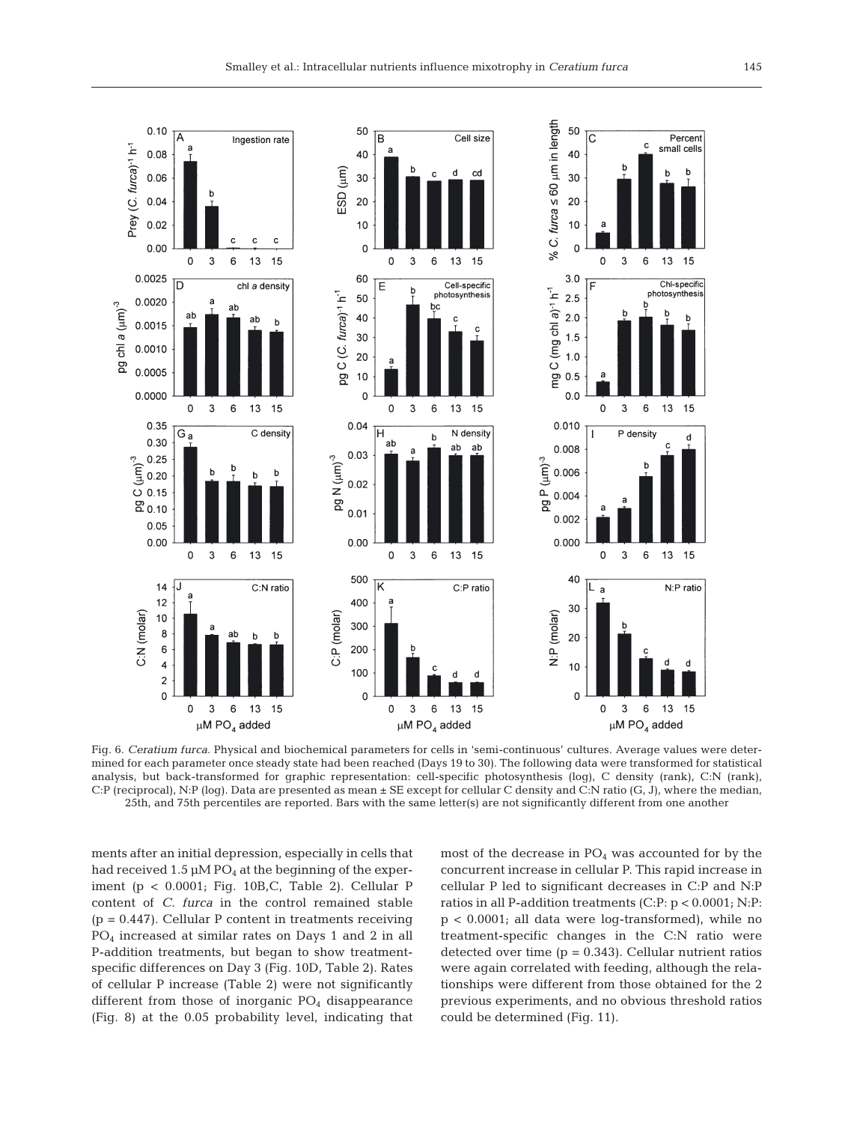

Fig. 6. *Ceratium furca*. Physical and biochemical parameters for cells in 'semi-continuous' cultures. Average values were determined for each parameter once steady state had been reached (Days 19 to 30). The following data were transformed for statistical analysis, but back-transformed for graphic representation: cell-specific photosynthesis (log), C density (rank), C:N (rank), C:P (reciprocal), N:P (log). Data are presented as mean ± SE except for cellular C density and C:N ratio (G, J), where the median, 25th, and 75th percentiles are reported. Bars with the same letter(s) are not significantly different from one another

ments after an initial depression, especially in cells that had received 1.5  $\mu$ M PO<sub>4</sub> at the beginning of the experiment (p < 0.0001; Fig. 10B,C, Table 2). Cellular P content of *C. furca* in the control remained stable  $(p = 0.447)$ . Cellular P content in treatments receiving PO4 increased at similar rates on Days 1 and 2 in all P-addition treatments, but began to show treatmentspecific differences on Day 3 (Fig. 10D, Table 2). Rates of cellular P increase (Table 2) were not significantly different from those of inorganic  $PO<sub>4</sub>$  disappearance (Fig. 8) at the 0.05 probability level, indicating that most of the decrease in  $PO<sub>4</sub>$  was accounted for by the concurrent increase in cellular P. This rapid increase in cellular P led to significant decreases in C:P and N:P ratios in all P-addition treatments (C:P: p < 0.0001; N:P: p < 0.0001; all data were log-transformed), while no treatment-specific changes in the C:N ratio were detected over time  $(p = 0.343)$ . Cellular nutrient ratios were again correlated with feeding, although the relationships were different from those obtained for the 2 previous experiments, and no obvious threshold ratios could be determined (Fig. 11).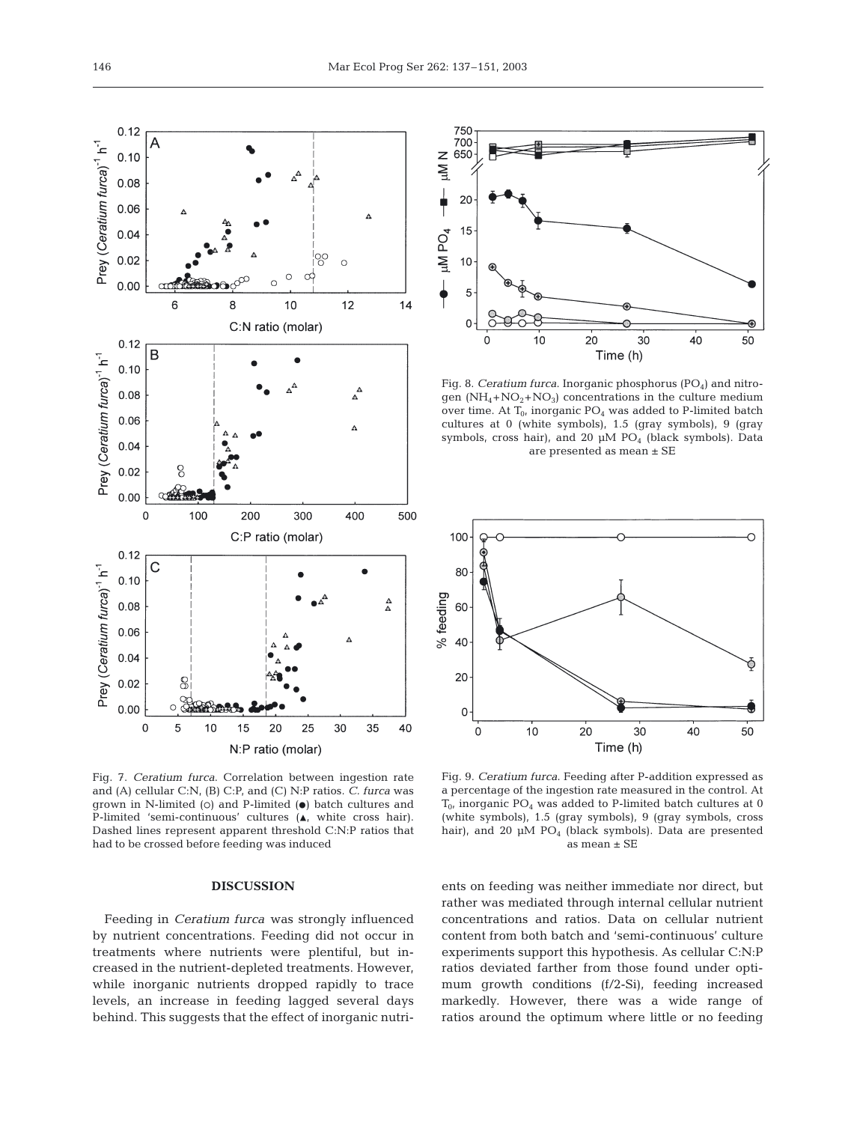

Fig. 7. *Ceratium furca*. Correlation between ingestion rate and (A) cellular C:N, (B) C:P, and (C) N:P ratios. *C. furca* was grown in N-limited (o) and P-limited  $(\bullet)$  batch cultures and P-limited 'semi-continuous' cultures  $(A, \text{ white cross hair}).$ Dashed lines represent apparent threshold C:N:P ratios that had to be crossed before feeding was induced

### **DISCUSSION**

Feeding in *Ceratium furca* was strongly influenced by nutrient concentrations. Feeding did not occur in treatments where nutrients were plentiful, but increased in the nutrient-depleted treatments. However, while inorganic nutrients dropped rapidly to trace levels, an increase in feeding lagged several days behind. This suggests that the effect of inorganic nutri-



Fig. 8. *Ceratium furca*. Inorganic phosphorus (PO<sub>4</sub>) and nitrogen  $(NH_4+NO_2+NO_3)$  concentrations in the culture medium over time. At  $T_0$ , inorganic  $PO_4$  was added to P-limited batch cultures at 0 (white symbols), 1.5 (gray symbols), 9 (gray symbols, cross hair), and 20 µM PO<sub>4</sub> (black symbols). Data are presented as mean ± SE



Fig. 9. *Ceratium furca*. Feeding after P-addition expressed as a percentage of the ingestion rate measured in the control. At  $T_{0}$ , inorganic PO<sub>4</sub> was added to P-limited batch cultures at 0 (white symbols), 1.5 (gray symbols), 9 (gray symbols, cross hair), and 20  $\mu$ M PO<sub>4</sub> (black symbols). Data are presented as mean ± SE

ents on feeding was neither immediate nor direct, but rather was mediated through internal cellular nutrient concentrations and ratios. Data on cellular nutrient content from both batch and 'semi-continuous' culture experiments support this hypothesis. As cellular C:N:P ratios deviated farther from those found under optimum growth conditions (f/2-Si), feeding increased markedly. However, there was a wide range of ratios around the optimum where little or no feeding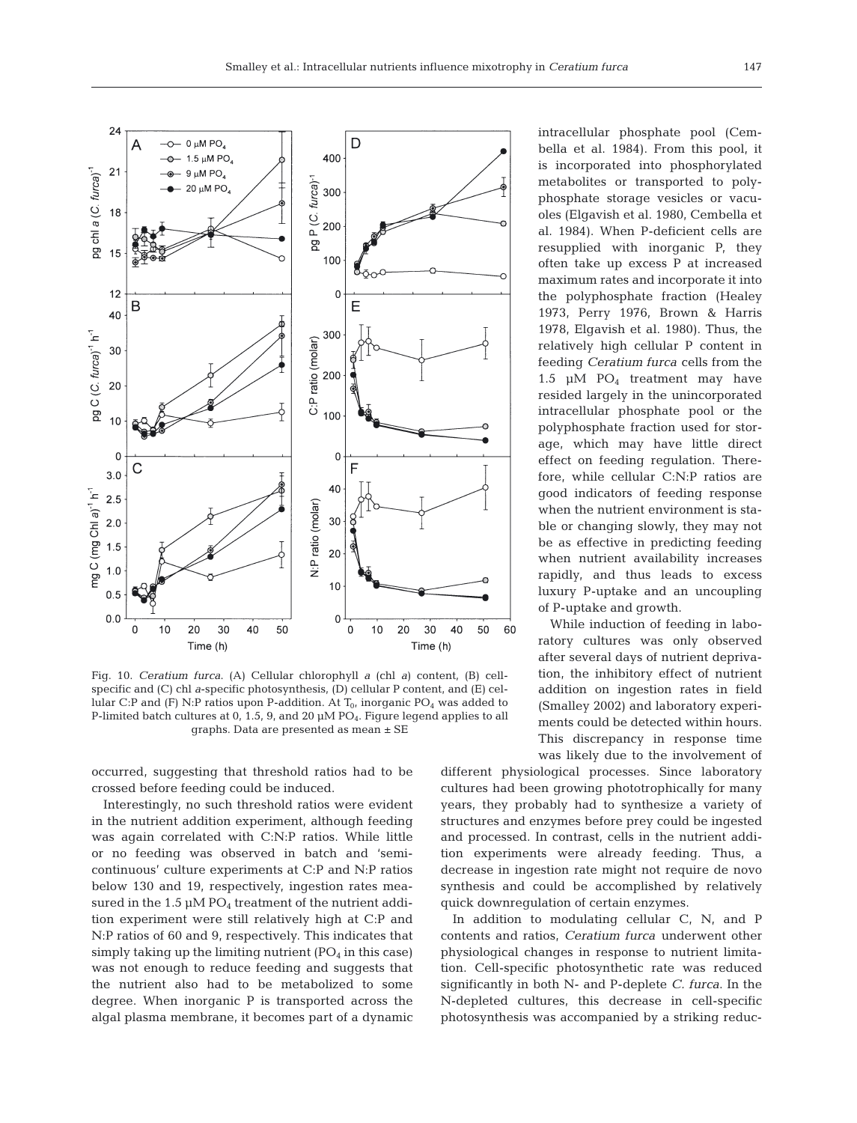

Fig. 10. *Ceratium furca*. (A) Cellular chlorophyll *a* (chl *a*) content, (B) cellspecific and (C) chl *a*-specific photosynthesis, (D) cellular P content, and (E) cellular C:P and (F) N:P ratios upon P-addition. At  $T_0$ , inorganic PO<sub>4</sub> was added to P-limited batch cultures at 0, 1.5, 9, and 20  $\mu$ M PO<sub>4</sub>. Figure legend applies to all graphs. Data are presented as mean ± SE

occurred, suggesting that threshold ratios had to be crossed before feeding could be induced.

Interestingly, no such threshold ratios were evident in the nutrient addition experiment, although feeding was again correlated with C:N:P ratios. While little or no feeding was observed in batch and 'semicontinuous' culture experiments at C:P and N:P ratios below 130 and 19, respectively, ingestion rates measured in the  $1.5 \mu M PO_4$  treatment of the nutrient addition experiment were still relatively high at C:P and N:P ratios of 60 and 9, respectively. This indicates that simply taking up the limiting nutrient  $(PO_4$  in this case) was not enough to reduce feeding and suggests that the nutrient also had to be metabolized to some degree. When inorganic P is transported across the algal plasma membrane, it becomes part of a dynamic intracellular phosphate pool (Cembella et al. 1984). From this pool, it is incorporated into phosphorylated metabolites or transported to polyphosphate storage vesicles or vacuoles (Elgavish et al. 1980, Cembella et al. 1984). When P-deficient cells are resupplied with inorganic P, they often take up excess P at increased maximum rates and incorporate it into the polyphosphate fraction (Healey 1973, Perry 1976, Brown & Harris 1978, Elgavish et al. 1980). Thus, the relatively high cellular P content in feeding *Ceratium furca* cells from the 1.5  $\mu$ M PO<sub>4</sub> treatment may have resided largely in the unincorporated intracellular phosphate pool or the polyphosphate fraction used for storage, which may have little direct effect on feeding regulation. Therefore, while cellular C:N:P ratios are good indicators of feeding response when the nutrient environment is stable or changing slowly, they may not be as effective in predicting feeding when nutrient availability increases rapidly, and thus leads to excess luxury P-uptake and an uncoupling of P-uptake and growth.

While induction of feeding in laboratory cultures was only observed after several days of nutrient deprivation, the inhibitory effect of nutrient addition on ingestion rates in field (Smalley 2002) and laboratory experiments could be detected within hours. This discrepancy in response time was likely due to the involvement of

different physiological processes. Since laboratory cultures had been growing phototrophically for many years, they probably had to synthesize a variety of structures and enzymes before prey could be ingested and processed. In contrast, cells in the nutrient addition experiments were already feeding. Thus, a decrease in ingestion rate might not require de novo synthesis and could be accomplished by relatively quick downregulation of certain enzymes.

In addition to modulating cellular C, N, and P contents and ratios, *Ceratium furca* underwent other physiological changes in response to nutrient limitation. Cell-specific photosynthetic rate was reduced significantly in both N- and P-deplete *C. furca*. In the N-depleted cultures, this decrease in cell-specific photosynthesis was accompanied by a striking reduc-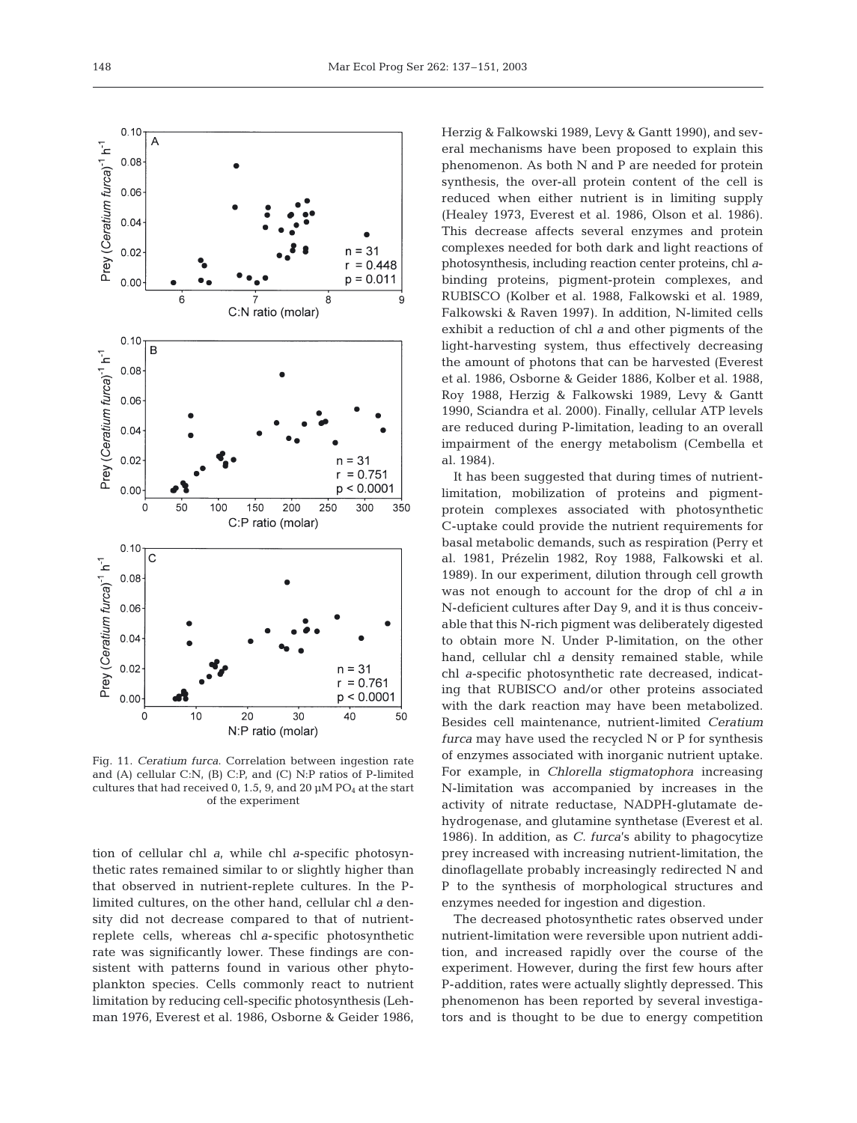

Fig. 11. *Ceratium furca*. Correlation between ingestion rate and (A) cellular C:N, (B) C:P, and (C) N:P ratios of P-limited cultures that had received 0, 1.5, 9, and 20  $\mu$ M PO<sub>4</sub> at the start of the experiment

tion of cellular chl *a*, while chl *a*-specific photosynthetic rates remained similar to or slightly higher than that observed in nutrient-replete cultures. In the Plimited cultures, on the other hand, cellular chl *a* density did not decrease compared to that of nutrientreplete cells, whereas chl *a*-specific photosynthetic rate was significantly lower. These findings are consistent with patterns found in various other phytoplankton species. Cells commonly react to nutrient limitation by reducing cell-specific photosynthesis (Lehman 1976, Everest et al. 1986, Osborne & Geider 1986,

Herzig & Falkowski 1989, Levy & Gantt 1990), and several mechanisms have been proposed to explain this phenomenon. As both N and P are needed for protein synthesis, the over-all protein content of the cell is reduced when either nutrient is in limiting supply (Healey 1973, Everest et al. 1986, Olson et al. 1986). This decrease affects several enzymes and protein complexes needed for both dark and light reactions of photosynthesis, including reaction center proteins, chl *a*binding proteins, pigment-protein complexes, and RUBISCO (Kolber et al. 1988, Falkowski et al. 1989, Falkowski & Raven 1997). In addition, N-limited cells exhibit a reduction of chl *a* and other pigments of the light-harvesting system, thus effectively decreasing the amount of photons that can be harvested (Everest et al. 1986, Osborne & Geider 1886, Kolber et al. 1988, Roy 1988, Herzig & Falkowski 1989, Levy & Gantt 1990, Sciandra et al. 2000). Finally, cellular ATP levels are reduced during P-limitation, leading to an overall impairment of the energy metabolism (Cembella et al. 1984).

It has been suggested that during times of nutrientlimitation, mobilization of proteins and pigmentprotein complexes associated with photosynthetic C-uptake could provide the nutrient requirements for basal metabolic demands, such as respiration (Perry et al. 1981, Prézelin 1982, Roy 1988, Falkowski et al. 1989). In our experiment, dilution through cell growth was not enough to account for the drop of chl *a* in N-deficient cultures after Day 9, and it is thus conceivable that this N-rich pigment was deliberately digested to obtain more N. Under P-limitation, on the other hand, cellular chl *a* density remained stable, while chl *a*-specific photosynthetic rate decreased, indicating that RUBISCO and/or other proteins associated with the dark reaction may have been metabolized. Besides cell maintenance, nutrient-limited *Ceratium furca* may have used the recycled N or P for synthesis of enzymes associated with inorganic nutrient uptake. For example, in *Chlorella stigmatophora* increasing N-limitation was accompanied by increases in the activity of nitrate reductase, NADPH-glutamate dehydrogenase, and glutamine synthetase (Everest et al. 1986). In addition, as *C. furca*'s ability to phagocytize prey increased with increasing nutrient-limitation, the dinoflagellate probably increasingly redirected N and P to the synthesis of morphological structures and enzymes needed for ingestion and digestion.

The decreased photosynthetic rates observed under nutrient-limitation were reversible upon nutrient addition, and increased rapidly over the course of the experiment. However, during the first few hours after P-addition, rates were actually slightly depressed. This phenomenon has been reported by several investigators and is thought to be due to energy competition

 $0.10$  $\Delta$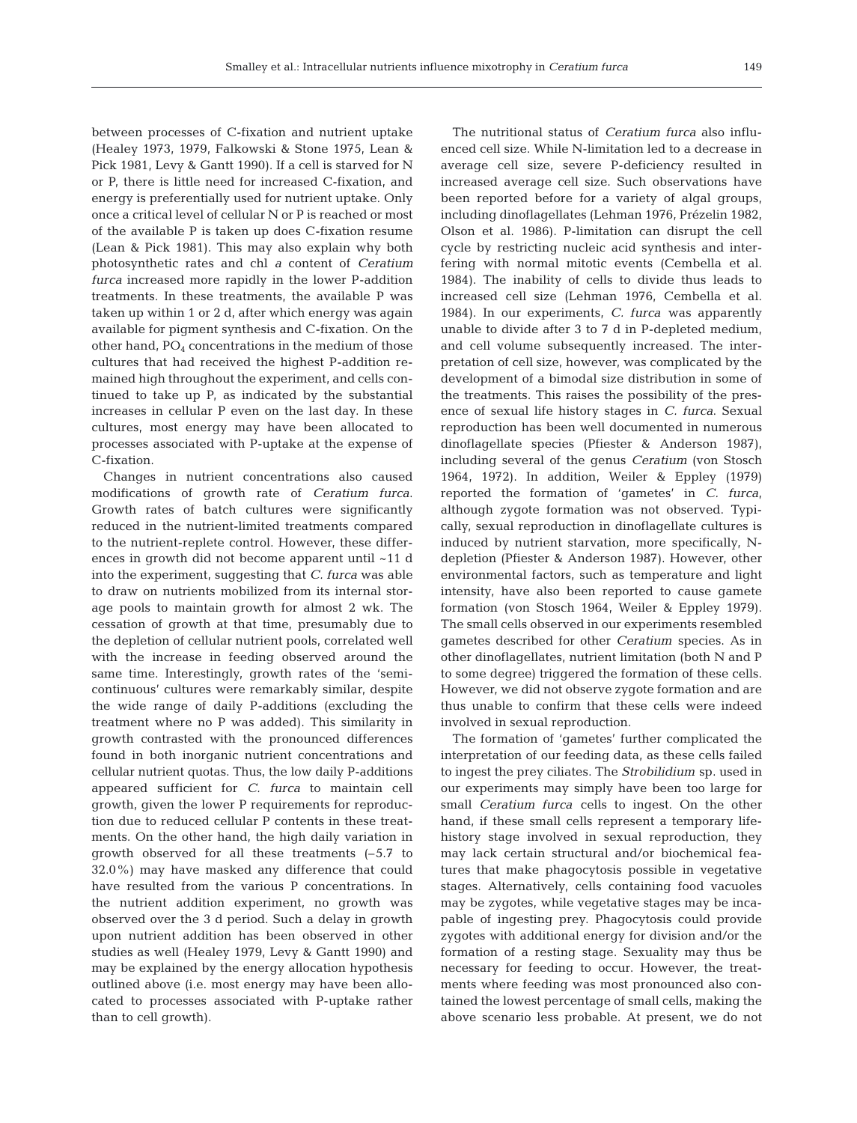between processes of C-fixation and nutrient uptake (Healey 1973, 1979, Falkowski & Stone 1975, Lean & Pick 1981, Levy & Gantt 1990). If a cell is starved for N or P, there is little need for increased C-fixation, and energy is preferentially used for nutrient uptake. Only once a critical level of cellular N or P is reached or most of the available P is taken up does C-fixation resume (Lean & Pick 1981). This may also explain why both photosynthetic rates and chl *a* content of *Ceratium furca* increased more rapidly in the lower P-addition treatments. In these treatments, the available P was taken up within 1 or 2 d, after which energy was again available for pigment synthesis and C-fixation. On the other hand,  $PO<sub>4</sub>$  concentrations in the medium of those cultures that had received the highest P-addition remained high throughout the experiment, and cells continued to take up P, as indicated by the substantial increases in cellular P even on the last day. In these cultures, most energy may have been allocated to processes associated with P-uptake at the expense of C-fixation.

Changes in nutrient concentrations also caused modifications of growth rate of *Ceratium furca*. Growth rates of batch cultures were significantly reduced in the nutrient-limited treatments compared to the nutrient-replete control. However, these differences in growth did not become apparent until ~11 d into the experiment, suggesting that *C. furca* was able to draw on nutrients mobilized from its internal storage pools to maintain growth for almost 2 wk. The cessation of growth at that time, presumably due to the depletion of cellular nutrient pools, correlated well with the increase in feeding observed around the same time. Interestingly, growth rates of the 'semicontinuous' cultures were remarkably similar, despite the wide range of daily P-additions (excluding the treatment where no P was added). This similarity in growth contrasted with the pronounced differences found in both inorganic nutrient concentrations and cellular nutrient quotas. Thus, the low daily P-additions appeared sufficient for *C. furca* to maintain cell growth, given the lower P requirements for reproduction due to reduced cellular P contents in these treatments. On the other hand, the high daily variation in growth observed for all these treatments (–5.7 to 32.0%) may have masked any difference that could have resulted from the various P concentrations. In the nutrient addition experiment, no growth was observed over the 3 d period. Such a delay in growth upon nutrient addition has been observed in other studies as well (Healey 1979, Levy & Gantt 1990) and may be explained by the energy allocation hypothesis outlined above (i.e. most energy may have been allocated to processes associated with P-uptake rather than to cell growth).

The nutritional status of *Ceratium furca* also influenced cell size. While N-limitation led to a decrease in average cell size, severe P-deficiency resulted in increased average cell size. Such observations have been reported before for a variety of algal groups, including dinoflagellates (Lehman 1976, Prézelin 1982, Olson et al. 1986). P-limitation can disrupt the cell cycle by restricting nucleic acid synthesis and interfering with normal mitotic events (Cembella et al. 1984). The inability of cells to divide thus leads to increased cell size (Lehman 1976, Cembella et al. 1984). In our experiments, *C. furca* was apparently unable to divide after 3 to 7 d in P-depleted medium, and cell volume subsequently increased. The interpretation of cell size, however, was complicated by the development of a bimodal size distribution in some of the treatments. This raises the possibility of the presence of sexual life history stages in *C. furca*. Sexual reproduction has been well documented in numerous dinoflagellate species (Pfiester & Anderson 1987), including several of the genus *Ceratium* (von Stosch 1964, 1972). In addition, Weiler & Eppley (1979) reported the formation of 'gametes' in *C. furca*, although zygote formation was not observed. Typically, sexual reproduction in dinoflagellate cultures is induced by nutrient starvation, more specifically, Ndepletion (Pfiester & Anderson 1987). However, other environmental factors, such as temperature and light intensity, have also been reported to cause gamete formation (von Stosch 1964, Weiler & Eppley 1979). The small cells observed in our experiments resembled gametes described for other *Ceratium* species. As in other dinoflagellates, nutrient limitation (both N and P to some degree) triggered the formation of these cells. However, we did not observe zygote formation and are thus unable to confirm that these cells were indeed involved in sexual reproduction.

The formation of 'gametes' further complicated the interpretation of our feeding data, as these cells failed to ingest the prey ciliates. The *Strobilidium* sp. used in our experiments may simply have been too large for small *Ceratium furca* cells to ingest. On the other hand, if these small cells represent a temporary lifehistory stage involved in sexual reproduction, they may lack certain structural and/or biochemical features that make phagocytosis possible in vegetative stages. Alternatively, cells containing food vacuoles may be zygotes, while vegetative stages may be incapable of ingesting prey. Phagocytosis could provide zygotes with additional energy for division and/or the formation of a resting stage. Sexuality may thus be necessary for feeding to occur. However, the treatments where feeding was most pronounced also contained the lowest percentage of small cells, making the above scenario less probable. At present, we do not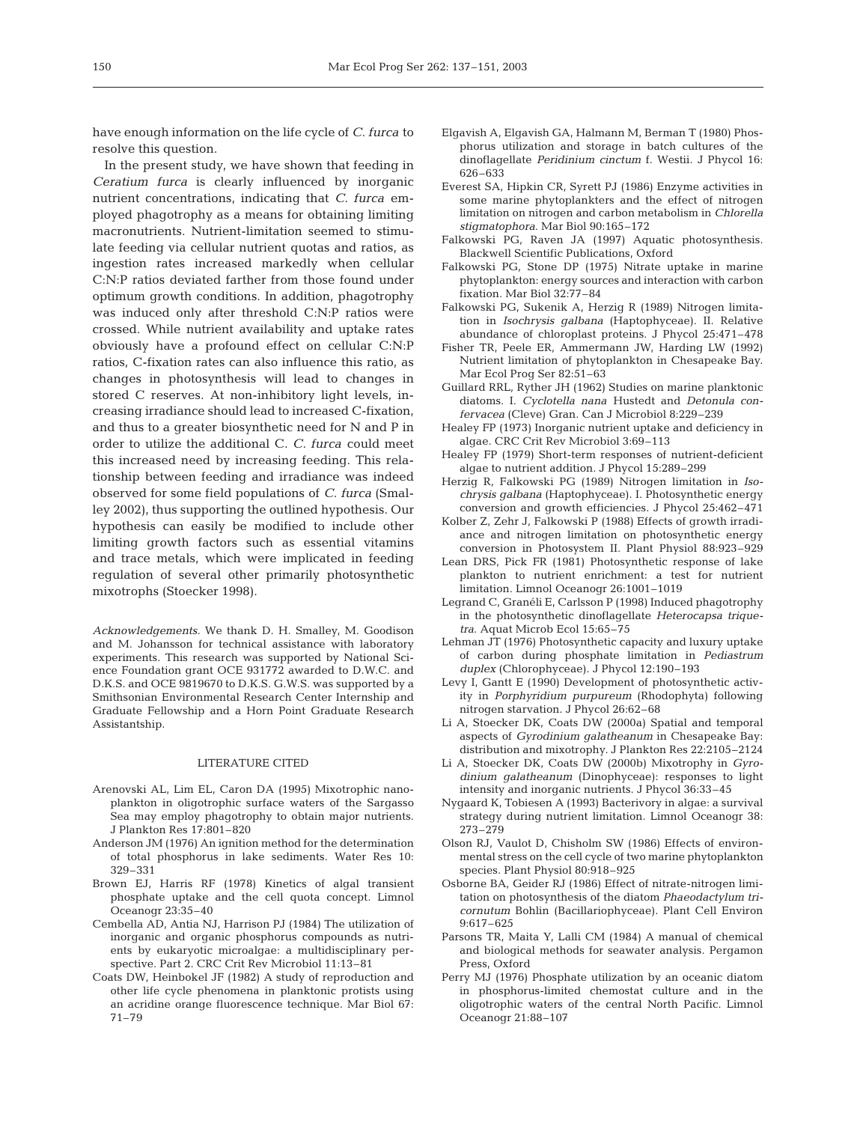have enough information on the life cycle of *C. furca* to resolve this question.

In the present study, we have shown that feeding in *Ceratium furca* is clearly influenced by inorganic nutrient concentrations, indicating that *C. furca* employed phagotrophy as a means for obtaining limiting macronutrients. Nutrient-limitation seemed to stimulate feeding via cellular nutrient quotas and ratios, as ingestion rates increased markedly when cellular C:N:P ratios deviated farther from those found under optimum growth conditions. In addition, phagotrophy was induced only after threshold C:N:P ratios were crossed. While nutrient availability and uptake rates obviously have a profound effect on cellular C:N:P ratios, C-fixation rates can also influence this ratio, as changes in photosynthesis will lead to changes in stored C reserves. At non-inhibitory light levels, increasing irradiance should lead to increased C-fixation, and thus to a greater biosynthetic need for N and P in order to utilize the additional C. *C. furca* could meet this increased need by increasing feeding. This relationship between feeding and irradiance was indeed observed for some field populations of *C. furca* (Smalley 2002), thus supporting the outlined hypothesis. Our hypothesis can easily be modified to include other limiting growth factors such as essential vitamins and trace metals, which were implicated in feeding regulation of several other primarily photosynthetic mixotrophs (Stoecker 1998).

*Acknowledgements.* We thank D. H. Smalley, M. Goodison and M. Johansson for technical assistance with laboratory experiments. This research was supported by National Science Foundation grant OCE 931772 awarded to D.W.C. and D.K.S. and OCE 9819670 to D.K.S. G.W.S. was supported by a Smithsonian Environmental Research Center Internship and Graduate Fellowship and a Horn Point Graduate Research Assistantship.

# LITERATURE CITED

- Arenovski AL, Lim EL, Caron DA (1995) Mixotrophic nanoplankton in oligotrophic surface waters of the Sargasso Sea may employ phagotrophy to obtain major nutrients. J Plankton Res 17:801–820
- Anderson JM (1976) An ignition method for the determination of total phosphorus in lake sediments. Water Res 10: 329–331
- Brown EJ, Harris RF (1978) Kinetics of algal transient phosphate uptake and the cell quota concept. Limnol Oceanogr 23:35–40
- Cembella AD, Antia NJ, Harrison PJ (1984) The utilization of inorganic and organic phosphorus compounds as nutrients by eukaryotic microalgae: a multidisciplinary perspective. Part 2. CRC Crit Rev Microbiol 11:13–81
- Coats DW, Heinbokel JF (1982) A study of reproduction and other life cycle phenomena in planktonic protists using an acridine orange fluorescence technique. Mar Biol 67: 71–79
- Elgavish A, Elgavish GA, Halmann M, Berman T (1980) Phosphorus utilization and storage in batch cultures of the dinoflagellate *Peridinium cinctum* f. Westii. J Phycol 16: 626–633
- Everest SA, Hipkin CR, Syrett PJ (1986) Enzyme activities in some marine phytoplankters and the effect of nitrogen limitation on nitrogen and carbon metabolism in *Chlorella stigmatophora*. Mar Biol 90:165–172
- Falkowski PG, Raven JA (1997) Aquatic photosynthesis. Blackwell Scientific Publications, Oxford
- Falkowski PG, Stone DP (1975) Nitrate uptake in marine phytoplankton: energy sources and interaction with carbon fixation. Mar Biol 32:77–84
- Falkowski PG, Sukenik A, Herzig R (1989) Nitrogen limitation in *Isochrysis galbana* (Haptophyceae). II. Relative abundance of chloroplast proteins. J Phycol 25:471–478
- Fisher TR, Peele ER, Ammermann JW, Harding LW (1992) Nutrient limitation of phytoplankton in Chesapeake Bay. Mar Ecol Prog Ser 82:51–63
- Guillard RRL, Ryther JH (1962) Studies on marine planktonic diatoms. I. *Cyclotella nana* Hustedt and *Detonula confervacea* (Cleve) Gran. Can J Microbiol 8:229–239
- Healey FP (1973) Inorganic nutrient uptake and deficiency in algae. CRC Crit Rev Microbiol 3:69–113
- Healey FP (1979) Short-term responses of nutrient-deficient algae to nutrient addition. J Phycol 15:289–299
- Herzig R, Falkowski PG (1989) Nitrogen limitation in *Isochrysis galbana* (Haptophyceae). I. Photosynthetic energy conversion and growth efficiencies. J Phycol 25:462–471
- Kolber Z, Zehr J, Falkowski P (1988) Effects of growth irradiance and nitrogen limitation on photosynthetic energy conversion in Photosystem II. Plant Physiol 88:923–929
- Lean DRS, Pick FR (1981) Photosynthetic response of lake plankton to nutrient enrichment: a test for nutrient limitation. Limnol Oceanogr 26:1001–1019
- Legrand C, Granéli E, Carlsson P (1998) Induced phagotrophy in the photosynthetic dinoflagellate *Heterocapsa triquetra*. Aquat Microb Ecol 15:65–75
- Lehman JT (1976) Photosynthetic capacity and luxury uptake of carbon during phosphate limitation in *Pediastrum duplex* (Chlorophyceae). J Phycol 12:190–193
- Levy I, Gantt E (1990) Development of photosynthetic activity in *Porphyridium purpureum* (Rhodophyta) following nitrogen starvation. J Phycol 26:62–68
- Li A, Stoecker DK, Coats DW (2000a) Spatial and temporal aspects of *Gyrodinium galatheanum* in Chesapeake Bay: distribution and mixotrophy. J Plankton Res 22:2105–2124
- Li A, Stoecker DK, Coats DW (2000b) Mixotrophy in *Gyrodinium galatheanum* (Dinophyceae): responses to light intensity and inorganic nutrients. J Phycol 36:33–45
- Nygaard K, Tobiesen A (1993) Bacterivory in algae: a survival strategy during nutrient limitation. Limnol Oceanogr 38: 273–279
- Olson RJ, Vaulot D, Chisholm SW (1986) Effects of environmental stress on the cell cycle of two marine phytoplankton species. Plant Physiol 80:918–925
- Osborne BA, Geider RJ (1986) Effect of nitrate-nitrogen limitation on photosynthesis of the diatom *Phaeodactylum tricornutum* Bohlin (Bacillariophyceae). Plant Cell Environ 9:617–625
- Parsons TR, Maita Y, Lalli CM (1984) A manual of chemical and biological methods for seawater analysis. Pergamon Press, Oxford
- Perry MJ (1976) Phosphate utilization by an oceanic diatom in phosphorus-limited chemostat culture and in the oligotrophic waters of the central North Pacific. Limnol Oceanogr 21:88–107